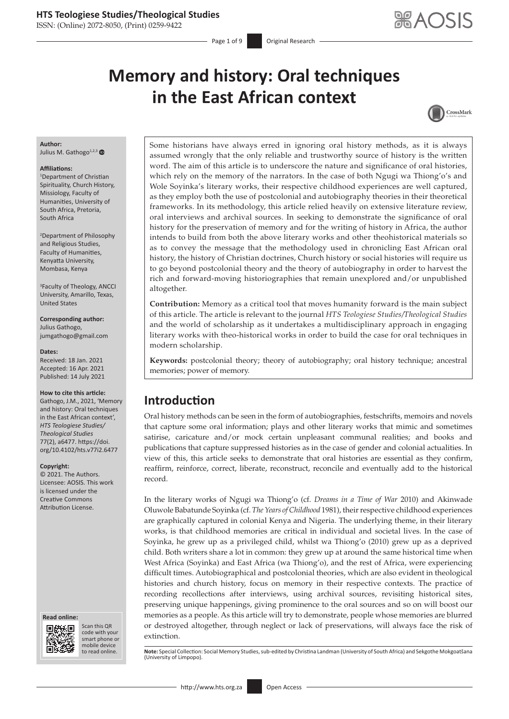ISSN: (Online) 2072-8050, (Print) 0259-9422

Page 1 of 9 **Original Research** 

# **Memory and history: Oral techniques in the East African context**



### **Author:**

Julius M. Gathogo<sup>1,2,[3](http://orcid.org/0000-0002-1718-0082)</sup>

#### **Affiliations:**

1 Department of Christian Spirituality, Church History, Missiology, Faculty of Humanities, University of South Africa, Pretoria, South Africa

2 Department of Philosophy and Religious Studies, Faculty of Humanities, Kenyatta University, Mombasa, Kenya

3 Faculty of Theology, ANCCI University, Amarillo, Texas, United States

**Corresponding author:** Julius Gathogo, [jumgathogo@gmail.com](mailto:jumgathogo@gmail.com)

#### **Dates:**

Received: 18 Jan. 2021 Accepted: 16 Apr. 2021 Published: 14 July 2021

#### **How to cite this article:**

Gathogo, J.M., 2021, 'Memory and history: Oral techniques in the East African context', *HTS Teologiese Studies/ Theological Studies* 77(2), a6477. [https://doi.](https://doi.org/10.4102/hts.v77i2.6477) [org/10.4102/hts.v77i2.6477](https://doi.org/10.4102/hts.v77i2.6477)

#### **Copyright:**

© 2021. The Authors. Licensee: AOSIS. This work is licensed under the Creative Commons Attribution License.

#### **Read online: Read online:**



Scan this QR code with your Scan this QR<br>code with your<br>smart phone or<br>mobile device mobile device to read online.

Some historians have always erred in ignoring oral history methods, as it is always assumed wrongly that the only reliable and trustworthy source of history is the written word. The aim of this article is to underscore the nature and significance of oral histories, which rely on the memory of the narrators. In the case of both Ngugi wa Thiong'o's and Wole Soyinka's literary works, their respective childhood experiences are well captured, as they employ both the use of postcolonial and autobiography theories in their theoretical frameworks. In its methodology, this article relied heavily on extensive literature review, oral interviews and archival sources. In seeking to demonstrate the significance of oral history for the preservation of memory and for the writing of history in Africa, the author intends to build from both the above literary works and other theohistorical materials so as to convey the message that the methodology used in chronicling East African oral history, the history of Christian doctrines, Church history or social histories will require us to go beyond postcolonial theory and the theory of autobiography in order to harvest the rich and forward-moving historiographies that remain unexplored and/or unpublished altogether.

**Contribution:** Memory as a critical tool that moves humanity forward is the main subject of this article. The article is relevant to the journal *HTS Teologiese Studies/Theological Studies* and the world of scholarship as it undertakes a multidisciplinary approach in engaging literary works with theo-historical works in order to build the case for oral techniques in modern scholarship.

**Keywords:** postcolonial theory; theory of autobiography; oral history technique; ancestral memories; power of memory.

# **Introduction**

Oral history methods can be seen in the form of autobiographies, festschrifts, memoirs and novels that capture some oral information; plays and other literary works that mimic and sometimes satirise, caricature and/or mock certain unpleasant communal realities; and books and publications that capture suppressed histories as in the case of gender and colonial actualities. In view of this, this article seeks to demonstrate that oral histories are essential as they confirm, reaffirm, reinforce, correct, liberate, reconstruct, reconcile and eventually add to the historical record.

In the literary works of Ngugi wa Thiong'o (cf. *Dreams in a Time of War* 2010) and Akinwade Oluwole Babatunde Soyinka (cf. *The Years of Childhood* 1981), their respective childhood experiences are graphically captured in colonial Kenya and Nigeria. The underlying theme, in their literary works, is that childhood memories are critical in individual and societal lives. In the case of Soyinka, he grew up as a privileged child, whilst wa Thiong'o (2010) grew up as a deprived child. Both writers share a lot in common: they grew up at around the same historical time when West Africa (Soyinka) and East Africa (wa Thiong'o), and the rest of Africa, were experiencing difficult times. Autobiographical and postcolonial theories, which are also evident in theological histories and church history, focus on memory in their respective contexts. The practice of recording recollections after interviews, using archival sources, revisiting historical sites, preserving unique happenings, giving prominence to the oral sources and so on will boost our memories as a people. As this article will try to demonstrate, people whose memories are blurred or destroyed altogether, through neglect or lack of preservations, will always face the risk of extinction.

Note: Special Collection: Social Memory Studies, sub-edited by Christina Landman (University of South Africa) and Sekgothe Mokgoatšana (University of Limpopo).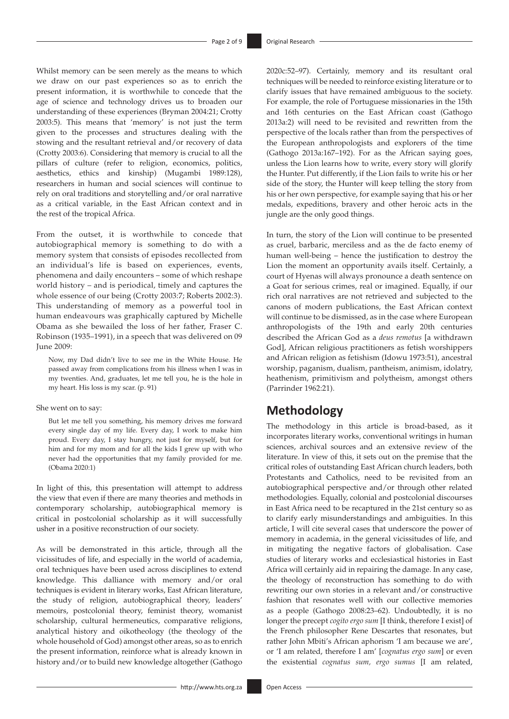Whilst memory can be seen merely as the means to which we draw on our past experiences so as to enrich the present information, it is worthwhile to concede that the age of science and technology drives us to broaden our understanding of these experiences (Bryman 2004:21; Crotty 2003:5). This means that 'memory' is not just the term given to the processes and structures dealing with the stowing and the resultant retrieval and/or recovery of data (Crotty 2003:6). Considering that memory is crucial to all the pillars of culture (refer to religion, economics, politics, aesthetics, ethics and kinship) (Mugambi 1989:128), researchers in human and social sciences will continue to rely on oral traditions and storytelling and/or oral narrative as a critical variable, in the East African context and in the rest of the tropical Africa.

From the outset, it is worthwhile to concede that autobiographical memory is something to do with a memory system that consists of episodes recollected from an individual's life is based on experiences, events, phenomena and daily encounters – some of which reshape world history – and is periodical, timely and captures the whole essence of our being (Crotty 2003:7; Roberts 2002:3). This understanding of memory as a powerful tool in human endeavours was graphically captured by Michelle Obama as she bewailed the loss of her father, Fraser C. Robinson (1935–1991), in a speech that was delivered on 09 June 2009:

Now, my Dad didn't live to see me in the White House. He passed away from complications from his illness when I was in my twenties. And, graduates, let me tell you, he is the hole in my heart. His loss is my scar. (p. 91)

### She went on to say:

But let me tell you something, his memory drives me forward every single day of my life. Every day, I work to make him proud. Every day, I stay hungry, not just for myself, but for him and for my mom and for all the kids I grew up with who never had the opportunities that my family provided for me. (Obama 2020:1)

In light of this, this presentation will attempt to address the view that even if there are many theories and methods in contemporary scholarship, autobiographical memory is critical in postcolonial scholarship as it will successfully usher in a positive reconstruction of our society.

As will be demonstrated in this article, through all the vicissitudes of life, and especially in the world of academia, oral techniques have been used across disciplines to extend knowledge. This dalliance with memory and/or oral techniques is evident in literary works, East African literature, the study of religion, autobiographical theory, leaders' memoirs, postcolonial theory, feminist theory, womanist scholarship, cultural hermeneutics, comparative religions, analytical history and oikotheology (the theology of the whole household of God) amongst other areas, so as to enrich the present information, reinforce what is already known in history and/or to build new knowledge altogether (Gathogo

2020c:52–97). Certainly, memory and its resultant oral techniques will be needed to reinforce existing literature or to clarify issues that have remained ambiguous to the society. For example, the role of Portuguese missionaries in the 15th and 16th centuries on the East African coast (Gathogo 2013a:2) will need to be revisited and rewritten from the perspective of the locals rather than from the perspectives of the European anthropologists and explorers of the time (Gathogo 2013a:167–192). For as the African saying goes, unless the Lion learns how to write, every story will glorify the Hunter. Put differently, if the Lion fails to write his or her side of the story, the Hunter will keep telling the story from his or her own perspective, for example saying that his or her medals, expeditions, bravery and other heroic acts in the jungle are the only good things.

In turn, the story of the Lion will continue to be presented as cruel, barbaric, merciless and as the de facto enemy of human well-being – hence the justification to destroy the Lion the moment an opportunity avails itself. Certainly, a court of Hyenas will always pronounce a death sentence on a Goat for serious crimes, real or imagined. Equally, if our rich oral narratives are not retrieved and subjected to the canons of modern publications, the East African context will continue to be dismissed, as in the case where European anthropologists of the 19th and early 20th centuries described the African God as a *deus remotus* [a withdrawn God], African religious practitioners as fetish worshippers and African religion as fetishism (Idowu 1973:51), ancestral worship, paganism, dualism, pantheism, animism, idolatry, heathenism, primitivism and polytheism, amongst others (Parrinder 1962:21).

### **Methodology**

The methodology in this article is broad-based, as it incorporates literary works, conventional writings in human sciences, archival sources and an extensive review of the literature. In view of this, it sets out on the premise that the critical roles of outstanding East African church leaders, both Protestants and Catholics, need to be revisited from an autobiographical perspective and/or through other related methodologies. Equally, colonial and postcolonial discourses in East Africa need to be recaptured in the 21st century so as to clarify early misunderstandings and ambiguities. In this article, I will cite several cases that underscore the power of memory in academia, in the general vicissitudes of life, and in mitigating the negative factors of globalisation. Case studies of literary works and ecclesiastical histories in East Africa will certainly aid in repairing the damage. In any case, the theology of reconstruction has something to do with rewriting our own stories in a relevant and/or constructive fashion that resonates well with our collective memories as a people (Gathogo 2008:23–62). Undoubtedly, it is no longer the precept *cogito ergo sum* [I think, therefore I exist] of the French philosopher Rene Descartes that resonates, but rather John Mbiti's African aphorism 'I am because we are', or 'I am related, therefore I am' [*cognatus ergo sum*] or even the existential *cognatus sum, ergo sumus* [I am related,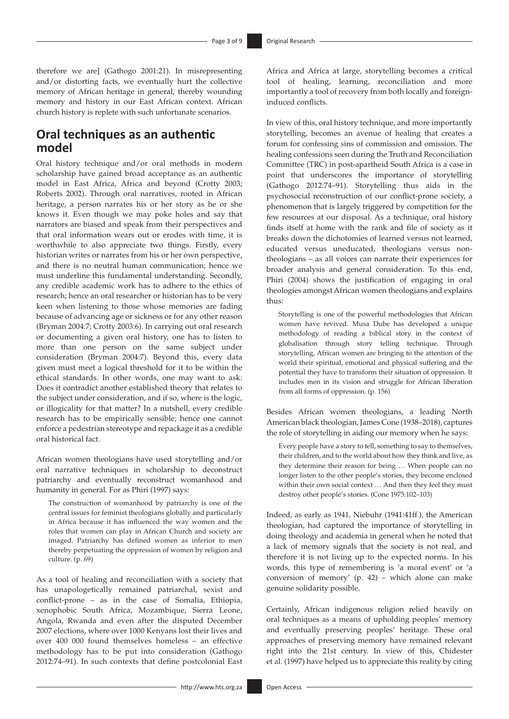therefore we are] (Gathogo 2001:21). In misrepresenting and/or distorting facts, we eventually hurt the collective memory of African heritage in general, thereby wounding memory and history in our East African context. African church history is replete with such unfortunate scenarios.

# **Oral techniques as an authentic model**

Oral history technique and/or oral methods in modern scholarship have gained broad acceptance as an authentic model in East Africa, Africa and beyond (Crotty 2003; Roberts 2002). Through oral narratives, rooted in African heritage, a person narrates his or her story as he or she knows it. Even though we may poke holes and say that narrators are biased and speak from their perspectives and that oral information wears out or erodes with time, it is worthwhile to also appreciate two things. Firstly, every historian writes or narrates from his or her own perspective, and there is no neutral human communication; hence we must underline this fundamental understanding. Secondly, any credible academic work has to adhere to the ethics of research; hence an oral researcher or historian has to be very keen when listening to those whose memories are fading because of advancing age or sickness or for any other reason (Bryman 2004:7; Crotty 2003:6). In carrying out oral research or documenting a given oral history, one has to listen to more than one person on the same subject under consideration (Bryman 2004:7). Beyond this, every data given must meet a logical threshold for it to be within the ethical standards. In other words, one may want to ask: Does it contradict another established theory that relates to the subject under consideration, and if so, where is the logic, or illogicality for that matter? In a nutshell, every credible research has to be empirically sensible; hence one cannot enforce a pedestrian stereotype and repackage it as a credible oral historical fact.

African women theologians have used storytelling and/or oral narrative techniques in scholarship to deconstruct patriarchy and eventually reconstruct womanhood and humanity in general. For as Phiri (1997) says:

The construction of womanhood by patriarchy is one of the central issues for feminist theologians globally and particularly in Africa because it has influenced the way women and the roles that women can play in African Church and society are imaged. Patriarchy has defined women as inferior to men thereby perpetuating the oppression of women by religion and culture. (p. 69)

As a tool of healing and reconciliation with a society that has unapologetically remained patriarchal, sexist and conflict-prone – as in the case of Somalia, Ethiopia, xenophobic South Africa, Mozambique, Sierra Leone, Angola, Rwanda and even after the disputed December 2007 elections, where over 1000 Kenyans lost their lives and over 400 000 found themselves homeless – an effective methodology has to be put into consideration (Gathogo 2012:74–91). In such contexts that define postcolonial East

Africa and Africa at large, storytelling becomes a critical tool of healing, learning, reconciliation and more importantly a tool of recovery from both locally and foreigninduced conflicts.

In view of this, oral history technique, and more importantly storytelling, becomes an avenue of healing that creates a forum for confessing sins of commission and omission. The healing confessions seen during the Truth and Reconciliation Committee (TRC) in post-apartheid South Africa is a case in point that underscores the importance of storytelling (Gathogo 2012:74–91). Storytelling thus aids in the psychosocial reconstruction of our conflict-prone society, a phenomenon that is largely triggered by competition for the few resources at our disposal. As a technique, oral history finds itself at home with the rank and file of society as it breaks down the dichotomies of learned versus not learned, educated versus uneducated, theologians versus nontheologians – as all voices can narrate their experiences for broader analysis and general consideration. To this end, Phiri (2004) shows the justification of engaging in oral theologies amongst African women theologians and explains thus:

Storytelling is one of the powerful methodologies that African women have revived. Musa Dube has developed a unique methodology of reading a biblical story in the context of globalisation through story telling technique. Through storytelling, African women are bringing to the attention of the world their spiritual, emotional and physical suffering and the potential they have to transform their situation of oppression. It includes men in its vision and struggle for African liberation from all forms of oppression. (p. 156)

Besides African women theologians, a leading North American black theologian, James Cone (1938–2018), captures the role of storytelling in aiding our memory when he says:

Every people have a story to tell, something to say to themselves, their children, and to the world about how they think and live, as they determine their reason for being … When people can no longer listen to the other people's stories, they become enclosed within their own social context … And then they feel they must destroy other people's stories. (Cone 1975:102–103)

Indeed, as early as 1941, Niebuhr (1941:41ff.), the American theologian, had captured the importance of storytelling in doing theology and academia in general when he noted that a lack of memory signals that the society is not real, and therefore it is not living up to the expected norms. In his words, this type of remembering is 'a moral event' or 'a conversion of memory' (p. 42) – which alone can make genuine solidarity possible.

Certainly, African indigenous religion relied heavily on oral techniques as a means of upholding peoples' memory and eventually preserving peoples' heritage. These oral approaches of preserving memory have remained relevant right into the 21st century. In view of this, Chidester et al. (1997) have helped us to appreciate this reality by citing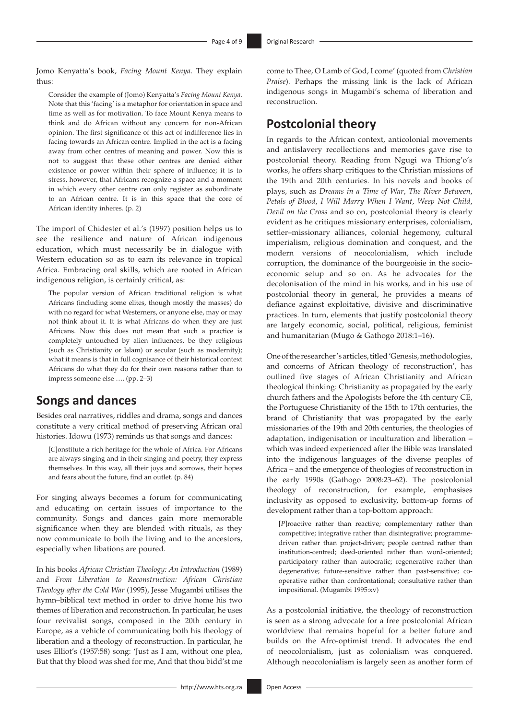Jomo Kenyatta's book, *Facing Mount Kenya*. They explain thus:

Consider the example of (Jomo) Kenyatta's *Facing Mount Kenya*. Note that this 'facing' is a metaphor for orientation in space and time as well as for motivation. To face Mount Kenya means to think and do African without any concern for non-African opinion. The first significance of this act of indifference lies in facing towards an African centre. Implied in the act is a facing away from other centres of meaning and power. Now this is not to suggest that these other centres are denied either existence or power within their sphere of influence; it is to stress, however, that Africans recognize a space and a moment in which every other centre can only register as subordinate to an African centre. It is in this space that the core of African identity inheres. (p. 2)

The import of Chidester et al.'s (1997) position helps us to see the resilience and nature of African indigenous education, which must necessarily be in dialogue with Western education so as to earn its relevance in tropical Africa. Embracing oral skills, which are rooted in African indigenous religion, is certainly critical, as:

The popular version of African traditional religion is what Africans (including some elites, though mostly the masses) do with no regard for what Westerners, or anyone else, may or may not think about it. It is what Africans do when they are just Africans. Now this does not mean that such a practice is completely untouched by alien influences, be they religious (such as Christianity or Islam) or secular (such as modernity); what it means is that in full cognisance of their historical context Africans do what they do for their own reasons rather than to impress someone else …. (pp. 2–3)

### **Songs and dances**

Besides oral narratives, riddles and drama, songs and dances constitute a very critical method of preserving African oral histories. Idowu (1973) reminds us that songs and dances:

[*C*]onstitute a rich heritage for the whole of Africa. For Africans are always singing and in their singing and poetry, they express themselves. In this way, all their joys and sorrows, their hopes and fears about the future, find an outlet. (p. 84)

For singing always becomes a forum for communicating and educating on certain issues of importance to the community. Songs and dances gain more memorable significance when they are blended with rituals, as they now communicate to both the living and to the ancestors, especially when libations are poured.

In his books *African Christian Theology: An Introduction* (1989) and *From Liberation to Reconstruction: African Christian Theology after the Cold War* (1995), Jesse Mugambi utilises the hymn–biblical text method in order to drive home his two themes of liberation and reconstruction. In particular, he uses four revivalist songs, composed in the 20th century in Europe, as a vehicle of communicating both his theology of liberation and a theology of reconstruction. In particular, he uses Elliot's (1957:58) song: 'Just as I am, without one plea, But that thy blood was shed for me, And that thou bidd'st me

come to Thee, O Lamb of God, I come' (quoted from *Christian Praise*). Perhaps the missing link is the lack of African indigenous songs in Mugambi's schema of liberation and reconstruction.

# **Postcolonial theory**

In regards to the African context, anticolonial movements and antislavery recollections and memories gave rise to postcolonial theory. Reading from Ngugi wa Thiong'o's works, he offers sharp critiques to the Christian missions of the 19th and 20th centuries. In his novels and books of plays, such as *Dreams in a Time of War*, *The River Between*, *Petals of Blood*, *I Will Marry When I Want*, *Weep Not Child*, *Devil on the Cross* and so on, postcolonial theory is clearly evident as he critiques missionary enterprises, colonialism, settler–missionary alliances, colonial hegemony, cultural imperialism, religious domination and conquest, and the modern versions of neocolonialism, which include corruption, the dominance of the bourgeoisie in the socioeconomic setup and so on. As he advocates for the decolonisation of the mind in his works, and in his use of postcolonial theory in general, he provides a means of defiance against exploitative, divisive and discriminative practices. In turn, elements that justify postcolonial theory are largely economic, social, political, religious, feminist and humanitarian (Mugo & Gathogo 2018:1–16).

One of the researcher's articles, titled 'Genesis, methodologies, and concerns of African theology of reconstruction', has outlined five stages of African Christianity and African theological thinking: Christianity as propagated by the early church fathers and the Apologists before the 4th century CE, the Portuguese Christianity of the 15th to 17th centuries, the brand of Christianity that was propagated by the early missionaries of the 19th and 20th centuries, the theologies of adaptation, indigenisation or inculturation and liberation – which was indeed experienced after the Bible was translated into the indigenous languages of the diverse peoples of Africa – and the emergence of theologies of reconstruction in the early 1990s (Gathogo 2008:23–62). The postcolonial theology of reconstruction, for example, emphasises inclusivity as opposed to exclusivity, bottom-up forms of development rather than a top-bottom approach:

[*P*]roactive rather than reactive; complementary rather than competitive; integrative rather than disintegrative; programmedriven rather than project-driven; people centred rather than institution-centred; deed-oriented rather than word-oriented; participatory rather than autocratic; regenerative rather than degenerative; future-sensitive rather than past-sensitive; cooperative rather than confrontational; consultative rather than impositional. (Mugambi 1995:xv)

As a postcolonial initiative, the theology of reconstruction is seen as a strong advocate for a free postcolonial African worldview that remains hopeful for a better future and builds on the Afro-optimist trend. It advocates the end of neocolonialism, just as colonialism was conquered. Although neocolonialism is largely seen as another form of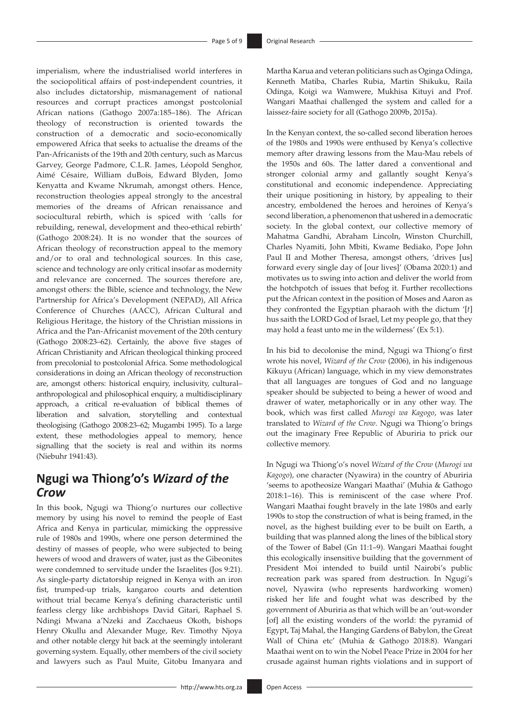imperialism, where the industrialised world interferes in the sociopolitical affairs of post-independent countries, it also includes dictatorship, mismanagement of national resources and corrupt practices amongst postcolonial African nations (Gathogo 2007a:185–186). The African theology of reconstruction is oriented towards the construction of a democratic and socio-economically empowered Africa that seeks to actualise the dreams of the Pan-Africanists of the 19th and 20th century, such as Marcus Garvey, George Padmore, C.L.R. James, Léopold Senghor, Aimé Césaire, William duBois, Edward Blyden, Jomo Kenyatta and Kwame Nkrumah, amongst others. Hence, reconstruction theologies appeal strongly to the ancestral memories of the dreams of African renaissance and sociocultural rebirth, which is spiced with 'calls for rebuilding, renewal, development and theo-ethical rebirth' (Gathogo 2008:24). It is no wonder that the sources of African theology of reconstruction appeal to the memory and/or to oral and technological sources. In this case, science and technology are only critical insofar as modernity and relevance are concerned. The sources therefore are, amongst others: the Bible, science and technology, the New Partnership for Africa's Development (NEPAD), All Africa Conference of Churches (AACC), African Cultural and Religious Heritage, the history of the Christian missions in Africa and the Pan-Africanist movement of the 20th century (Gathogo 2008:23–62). Certainly, the above five stages of African Christianity and African theological thinking proceed from precolonial to postcolonial Africa. Some methodological considerations in doing an African theology of reconstruction are, amongst others: historical enquiry, inclusivity, cultural– anthropological and philosophical enquiry, a multidisciplinary approach, a critical re-evaluation of biblical themes of liberation and salvation, storytelling and contextual theologising (Gathogo 2008:23–62; Mugambi 1995). To a large extent, these methodologies appeal to memory, hence signalling that the society is real and within its norms (Niebuhr 1941:43).

# **Ngugi wa Thiong'o's** *Wizard of the Crow*

In this book, Ngugi wa Thiong'o nurtures our collective memory by using his novel to remind the people of East Africa and Kenya in particular, mimicking the oppressive rule of 1980s and 1990s, where one person determined the destiny of masses of people, who were subjected to being hewers of wood and drawers of water, just as the Gibeonites were condemned to servitude under the Israelites (Jos 9:21). As single-party dictatorship reigned in Kenya with an iron fist, trumped-up trials, kangaroo courts and detention without trial became Kenya's defining characteristic until fearless clergy like archbishops David Gitari, Raphael S. Ndingi Mwana a'Nzeki and Zacchaeus Okoth, bishops Henry Okullu and Alexander Muge, Rev. Timothy Njoya and other notable clergy hit back at the seemingly intolerant governing system. Equally, other members of the civil society and lawyers such as Paul Muite, Gitobu Imanyara and

Martha Karua and veteran politicians such as Oginga Odinga, Kenneth Matiba, Charles Rubia, Martin Shikuku, Raila Odinga, Koigi wa Wamwere, Mukhisa Kituyi and Prof. Wangari Maathai challenged the system and called for a laissez-faire society for all (Gathogo 2009b, 2015a).

In the Kenyan context, the so-called second liberation heroes of the 1980s and 1990s were enthused by Kenya's collective memory after drawing lessons from the Mau-Mau rebels of the 1950s and 60s. The latter dared a conventional and stronger colonial army and gallantly sought Kenya's constitutional and economic independence. Appreciating their unique positioning in history, by appealing to their ancestry, emboldened the heroes and heroines of Kenya's second liberation, a phenomenon that ushered in a democratic society. In the global context, our collective memory of Mahatma Gandhi, Abraham Lincoln, Winston Churchill, Charles Nyamiti, John Mbiti, Kwame Bediako, Pope John Paul II and Mother Theresa, amongst others, 'drives [us] forward every single day of [our lives]' (Obama 2020:1) and motivates us to swing into action and deliver the world from the hotchpotch of issues that befog it. Further recollections put the African context in the position of Moses and Aaron as they confronted the Egyptian pharaoh with the dictum '[*t*] hus saith the LORD God of Israel, Let my people go, that they may hold a feast unto me in the wilderness' (Ex 5:1).

In his bid to decolonise the mind, Ngugi wa Thiong'o first wrote his novel, *Wizard of the Crow* (2006), in his indigenous Kikuyu (African) language, which in my view demonstrates that all languages are tongues of God and no language speaker should be subjected to being a hewer of wood and drawer of water, metaphorically or in any other way. The book, which was first called *Murogi wa Kagogo*, was later translated to *Wizard of the Crow*. Ngugi wa Thiong'o brings out the imaginary Free Republic of Aburiria to prick our collective memory.

In Ngugi wa Thiong'o's novel *Wizard of the Crow* (*Murogi wa Kagogo*), one character (Nyawira) in the country of Aburiria 'seems to apotheosize Wangari Maathai' (Muhia & Gathogo 2018:1–16). This is reminiscent of the case where Prof. Wangari Maathai fought bravely in the late 1980s and early 1990s to stop the construction of what is being framed, in the novel, as the highest building ever to be built on Earth, a building that was planned along the lines of the biblical story of the Tower of Babel (Gn 11:1–9). Wangari Maathai fought this ecologically insensitive building that the government of President Moi intended to build until Nairobi's public recreation park was spared from destruction. In Ngugi's novel, Nyawira (who represents hardworking women) risked her life and fought what was described by the government of Aburiria as that which will be an 'out-wonder [of] all the existing wonders of the world: the pyramid of Egypt, Taj Mahal, the Hanging Gardens of Babylon, the Great Wall of China etc' (Muhia & Gathogo 2018:8). Wangari Maathai went on to win the Nobel Peace Prize in 2004 for her crusade against human rights violations and in support of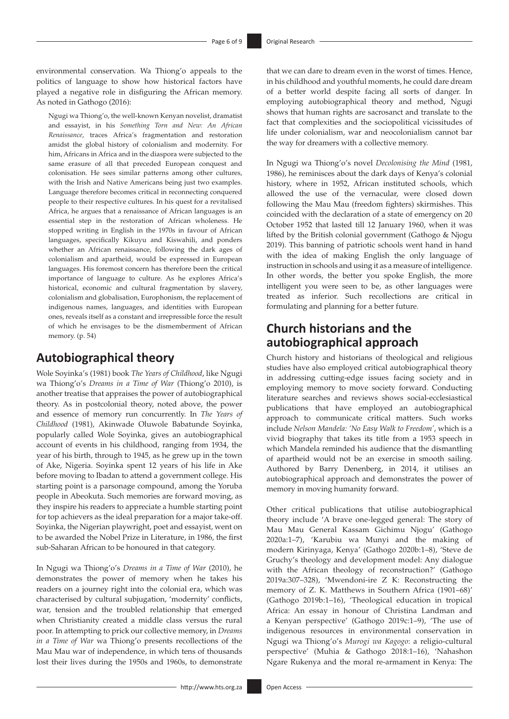environmental conservation. Wa Thiong'o appeals to the politics of language to show how historical factors have played a negative role in disfiguring the African memory. As noted in Gathogo (2016):

Ngugi wa Thiong'o, the well-known Kenyan novelist, dramatist and essayist, in his *Something Torn and New: An African Renaissance*, traces Africa's fragmentation and restoration amidst the global history of colonialism and modernity. For him, Africans in Africa and in the diaspora were subjected to the same erasure of all that preceded European conquest and colonisation. He sees similar patterns among other cultures, with the Irish and Native Americans being just two examples. Language therefore becomes critical in reconnecting conquered people to their respective cultures. In his quest for a revitalised Africa, he argues that a renaissance of African languages is an essential step in the restoration of African wholeness. He stopped writing in English in the 1970s in favour of African languages, specifically Kikuyu and Kiswahili, and ponders whether an African renaissance, following the dark ages of colonialism and apartheid, would be expressed in European languages. His foremost concern has therefore been the critical importance of language to culture. As he explores Africa's historical, economic and cultural fragmentation by slavery, colonialism and globalisation, Europhonism, the replacement of indigenous names, languages, and identities with European ones, reveals itself as a constant and irrepressible force the result of which he envisages to be the dismemberment of African memory. (p. 54)

### **Autobiographical theory**

Wole Soyinka's (1981) book *The Years of Childhood*, like Ngugi wa Thiong'o's *Dreams in a Time of War* (Thiong'o 2010), is another treatise that appraises the power of autobiographical theory. As in postcolonial theory, noted above, the power and essence of memory run concurrently. In *The Years of Childhood* (1981), Akinwade Oluwole Babatunde Soyinka, popularly called Wole Soyinka, gives an autobiographical account of events in his childhood, ranging from 1934, the year of his birth, through to 1945, as he grew up in the town of Ake, Nigeria. Soyinka spent 12 years of his life in Ake before moving to Ibadan to attend a government college. His starting point is a parsonage compound, among the Yoruba people in Abeokuta. Such memories are forward moving, as they inspire his readers to appreciate a humble starting point for top achievers as the ideal preparation for a major take-off. Soyinka, the Nigerian playwright, poet and essayist, went on to be awarded the Nobel Prize in Literature, in 1986, the first sub-Saharan African to be honoured in that category.

In Ngugi wa Thiong'o's *Dreams in a Time of War* (2010), he demonstrates the power of memory when he takes his readers on a journey right into the colonial era, which was characterised by cultural subjugation, 'modernity' conflicts, war, tension and the troubled relationship that emerged when Christianity created a middle class versus the rural poor. In attempting to prick our collective memory, in *Dreams in a Time of War* wa Thiong'o presents recollections of the Mau Mau war of independence, in which tens of thousands lost their lives during the 1950s and 1960s, to demonstrate

that we can dare to dream even in the worst of times. Hence, in his childhood and youthful moments, he could dare dream of a better world despite facing all sorts of danger. In employing autobiographical theory and method, Ngugi shows that human rights are sacrosanct and translate to the fact that complexities and the sociopolitical vicissitudes of life under colonialism, war and neocolonialism cannot bar the way for dreamers with a collective memory.

In Ngugi wa Thiong'o's novel *Decolonising the Mind* (1981, 1986), he reminisces about the dark days of Kenya's colonial history, where in 1952, African instituted schools, which allowed the use of the vernacular, were closed down following the Mau Mau (freedom fighters) skirmishes. This coincided with the declaration of a state of emergency on 20 October 1952 that lasted till 12 January 1960, when it was lifted by the British colonial government (Gathogo & Njogu 2019). This banning of patriotic schools went hand in hand with the idea of making English the only language of instruction in schools and using it as a measure of intelligence. In other words, the better you spoke English, the more intelligent you were seen to be, as other languages were treated as inferior. Such recollections are critical in formulating and planning for a better future.

# **Church historians and the autobiographical approach**

Church history and historians of theological and religious studies have also employed critical autobiographical theory in addressing cutting-edge issues facing society and in employing memory to move society forward. Conducting literature searches and reviews shows social-ecclesiastical publications that have employed an autobiographical approach to communicate critical matters. Such works include *Nelson Mandela: 'No Easy Walk to Freedom'*, which is a vivid biography that takes its title from a 1953 speech in which Mandela reminded his audience that the dismantling of apartheid would not be an exercise in smooth sailing. Authored by Barry Denenberg, in 2014, it utilises an autobiographical approach and demonstrates the power of memory in moving humanity forward.

Other critical publications that utilise autobiographical theory include 'A brave one-legged general: The story of Mau Mau General Kassam Gichimu Njogu' (Gathogo 2020a:1–7), 'Karubiu wa Munyi and the making of modern Kirinyaga, Kenya' (Gathogo 2020b:1–8), 'Steve de Gruchy's theology and development model: Any dialogue with the African theology of reconstruction?' (Gathogo 2019a:307–328), 'Mwendoni-ire Z K: Reconstructing the memory of Z. K. Matthews in Southern Africa (1901–68)' (Gathogo 2019b:1–16), 'Theological education in tropical Africa: An essay in honour of Christina Landman and a Kenyan perspective' (Gathogo 2019c:1–9), 'The use of indigenous resources in environmental conservation in Ngugi wa Thiong'o's *Murogi wa Kagogo*: a religio-cultural perspective' (Muhia & Gathogo 2018:1–16), 'Nahashon Ngare Rukenya and the moral re-armament in Kenya: The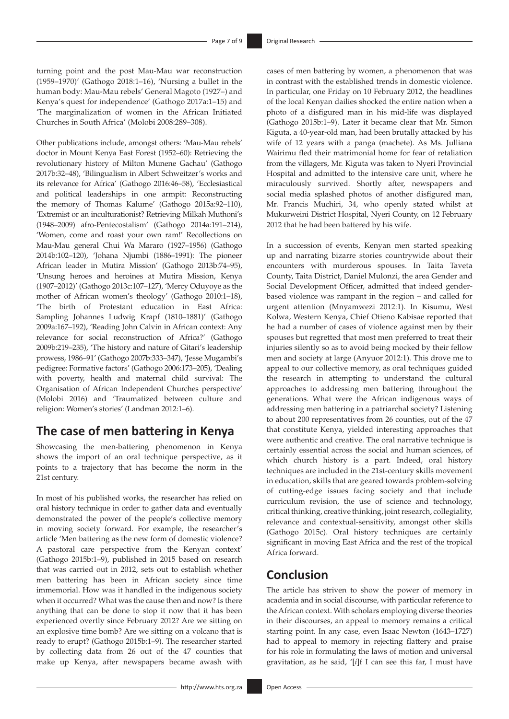turning point and the post Mau-Mau war reconstruction (1959–1970)' (Gathogo 2018:1–16), 'Nursing a bullet in the human body: Mau-Mau rebels' General Magoto (1927–) and Kenya's quest for independence' (Gathogo 2017a:1–15) and 'The marginalization of women in the African Initiated Churches in South Africa' (Molobi 2008:289–308).

Other publications include, amongst others: 'Mau-Mau rebels' doctor in Mount Kenya East Forest (1952–60): Retrieving the revolutionary history of Milton Munene Gachau' (Gathogo 2017b:32–48), 'Bilingualism in Albert Schweitzer's works and its relevance for Africa' (Gathogo 2016:46–58), 'Ecclesiastical and political leaderships in one armpit: Reconstructing the memory of Thomas Kalume' (Gathogo 2015a:92–110), 'Extremist or an inculturationist? Retrieving Milkah Muthoni's (1948–2009) afro-Pentecostalism' (Gathogo 2014a:191–214), 'Women, come and roast your own ram!' Recollections on Mau-Mau general Chui Wa Mararo (1927–1956) (Gathogo 2014b:102–120), 'Johana Njumbi (1886–1991): The pioneer African leader in Mutira Mission' (Gathogo 2013b:74–95), 'Unsung heroes and heroines at Mutira Mission, Kenya (1907–2012)' (Gathogo 2013c:107–127), 'Mercy Oduyoye as the mother of African women's theology' (Gathogo 2010:1–18), 'The birth of Protestant education in East Africa: Sampling Johannes Ludwig Krapf (1810–1881)' (Gathogo 2009a:167–192), 'Reading John Calvin in African context: Any relevance for social reconstruction of Africa?' (Gathogo 2009b:219–235), 'The history and nature of Gitari's leadership prowess, 1986–91' (Gathogo 2007b:333–347), 'Jesse Mugambi's pedigree: Formative factors' (Gathogo 2006:173–205), 'Dealing with poverty, health and maternal child survival: The Organisation of African Independent Churches perspective' (Molobi 2016) and 'Traumatized between culture and religion: Women's stories' (Landman 2012:1–6).

# **The case of men battering in Kenya**

Showcasing the men-battering phenomenon in Kenya shows the import of an oral technique perspective, as it points to a trajectory that has become the norm in the 21st century.

In most of his published works, the researcher has relied on oral history technique in order to gather data and eventually demonstrated the power of the people's collective memory in moving society forward. For example, the researcher's article 'Men battering as the new form of domestic violence? A pastoral care perspective from the Kenyan context' (Gathogo 2015b:1–9), published in 2015 based on research that was carried out in 2012, sets out to establish whether men battering has been in African society since time immemorial. How was it handled in the indigenous society when it occurred? What was the cause then and now? Is there anything that can be done to stop it now that it has been experienced overtly since February 2012? Are we sitting on an explosive time bomb? Are we sitting on a volcano that is ready to erupt? (Gathogo 2015b:1–9). The researcher started by collecting data from 26 out of the 47 counties that make up Kenya, after newspapers became awash with

cases of men battering by women, a phenomenon that was in contrast with the established trends in domestic violence. In particular, one Friday on 10 February 2012, the headlines of the local Kenyan dailies shocked the entire nation when a photo of a disfigured man in his mid-life was displayed (Gathogo 2015b:1–9). Later it became clear that Mr. Simon Kiguta, a 40-year-old man, had been brutally attacked by his wife of 12 years with a panga (machete). As Ms. Julliana Wairimu fled their matrimonial home for fear of retaliation from the villagers, Mr. Kiguta was taken to Nyeri Provincial Hospital and admitted to the intensive care unit, where he miraculously survived. Shortly after, newspapers and social media splashed photos of another disfigured man, Mr. Francis Muchiri, 34, who openly stated whilst at Mukurweini District Hospital, Nyeri County, on 12 February 2012 that he had been battered by his wife.

In a succession of events, Kenyan men started speaking up and narrating bizarre stories countrywide about their encounters with murderous spouses. In Taita Taveta County, Taita District, Daniel Mulonzi, the area Gender and Social Development Officer, admitted that indeed genderbased violence was rampant in the region – and called for urgent attention (Mnyamwezi 2012:1). In Kisumu, West Kolwa, Western Kenya, Chief Otieno Kabisae reported that he had a number of cases of violence against men by their spouses but regretted that most men preferred to treat their injuries silently so as to avoid being mocked by their fellow men and society at large (Anyuor 2012:1). This drove me to appeal to our collective memory, as oral techniques guided the research in attempting to understand the cultural approaches to addressing men battering throughout the generations. What were the African indigenous ways of addressing men battering in a patriarchal society? Listening to about 200 representatives from 26 counties, out of the 47 that constitute Kenya, yielded interesting approaches that were authentic and creative. The oral narrative technique is certainly essential across the social and human sciences, of which church history is a part. Indeed, oral history techniques are included in the 21st-century skills movement in education, skills that are geared towards problem-solving of cutting-edge issues facing society and that include curriculum revision, the use of science and technology, critical thinking, creative thinking, joint research, collegiality, relevance and contextual-sensitivity, amongst other skills (Gathogo 2015c). Oral history techniques are certainly significant in moving East Africa and the rest of the tropical Africa forward.

## **Conclusion**

The article has striven to show the power of memory in academia and in social discourse, with particular reference to the African context. With scholars employing diverse theories in their discourses, an appeal to memory remains a critical starting point. In any case, even Isaac Newton (1643–1727) had to appeal to memory in rejecting flattery and praise for his role in formulating the laws of motion and universal gravitation, as he said, '[*i*]f I can see this far, I must have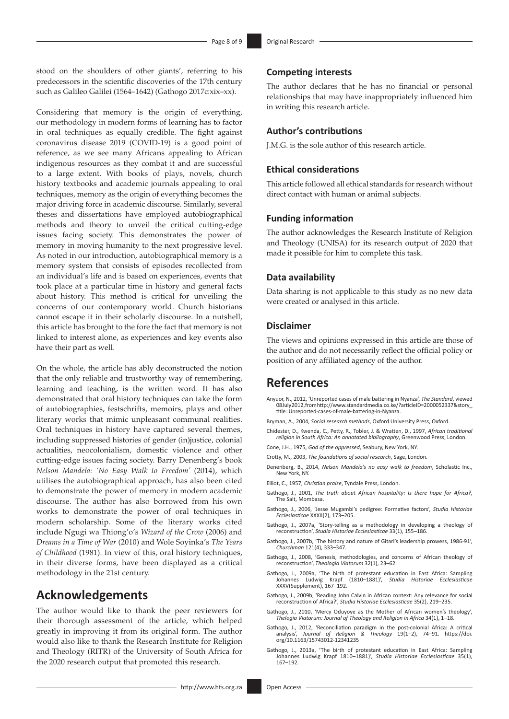stood on the shoulders of other giants', referring to his predecessors in the scientific discoveries of the 17th century such as Galileo Galilei (1564–1642) (Gathogo 2017c:xix–xx).

Considering that memory is the origin of everything, our methodology in modern forms of learning has to factor in oral techniques as equally credible. The fight against coronavirus disease 2019 (COVID-19) is a good point of reference, as we see many Africans appealing to African indigenous resources as they combat it and are successful to a large extent. With books of plays, novels, church history textbooks and academic journals appealing to oral techniques, memory as the origin of everything becomes the major driving force in academic discourse. Similarly, several theses and dissertations have employed autobiographical methods and theory to unveil the critical cutting-edge issues facing society. This demonstrates the power of memory in moving humanity to the next progressive level. As noted in our introduction, autobiographical memory is a memory system that consists of episodes recollected from an individual's life and is based on experiences, events that took place at a particular time in history and general facts about history. This method is critical for unveiling the concerns of our contemporary world. Church historians cannot escape it in their scholarly discourse. In a nutshell, this article has brought to the fore the fact that memory is not linked to interest alone, as experiences and key events also have their part as well.

On the whole, the article has ably deconstructed the notion that the only reliable and trustworthy way of remembering, learning and teaching, is the written word. It has also demonstrated that oral history techniques can take the form of autobiographies, festschrifts, memoirs, plays and other literary works that mimic unpleasant communal realities. Oral techniques in history have captured several themes, including suppressed histories of gender (in)justice, colonial actualities, neocolonialism, domestic violence and other cutting-edge issues facing society. Barry Denenberg's book *Nelson Mandela: 'No Easy Walk to Freedom'* (2014), which utilises the autobiographical approach, has also been cited to demonstrate the power of memory in modern academic discourse. The author has also borrowed from his own works to demonstrate the power of oral techniques in modern scholarship. Some of the literary works cited include Ngugi wa Thiong'o's *Wizard of the Crow* (2006) and *Dreams in a Time of War* (2010) and Wole Soyinka's *The Years of Childhood* (1981). In view of this, oral history techniques, in their diverse forms, have been displayed as a critical methodology in the 21st century.

### **Acknowledgements**

The author would like to thank the peer reviewers for their thorough assessment of the article, which helped greatly in improving it from its original form. The author would also like to thank the Research Institute for Religion and Theology (RITR) of the University of South Africa for the 2020 research output that promoted this research.

### **Competing interests**

The author declares that he has no financial or personal relationships that may have inappropriately influenced him in writing this research article.

### **Author's contributions**

J.M.G. is the sole author of this research article.

### **Ethical considerations**

This article followed all ethical standards for research without direct contact with human or animal subjects.

### **Funding information**

The author acknowledges the Research Institute of Religion and Theology (UNISA) for its research output of 2020 that made it possible for him to complete this task.

### **Data availability**

Data sharing is not applicable to this study as no new data were created or analysed in this article.

### **Disclaimer**

The views and opinions expressed in this article are those of the author and do not necessarily reflect the official policy or position of any affiliated agency of the author.

### **References**

- Anyuor, N., 2012, 'Unreported cases of male battering in Nyanza', *The Standard*, viewed 08 July 2012, from [http://www.standardmedia.co.ke/?articleID=2000052337&story\\_](http://www.standardmedia.co.ke/?articleID=2000052337&story_title=Unreported-cases-of-male-battering-in-Nyanza) [title=Unreported-cases-of-male-battering-in-Nyanza](http://www.standardmedia.co.ke/?articleID=2000052337&story_title=Unreported-cases-of-male-battering-in-Nyanza).
- Bryman, A., 2004, *Social research methods*, Oxford University Press, Oxford.
- Chidester, D., Kwenda, C., Petty, R., Tobler, J. & Wratten, D., 1997, *African traditional religion in South Africa: An annotated bibliography*, Greenwood Press, London.
- Cone, J.H., 1975, *God of the oppressed*, Seabury, New York, NY.
- Crotty, M., 2003, *The foundations of social research*, Sage, London.
- Denenberg, B., 2014, *Nelson Mandela's no easy walk to freedom*, Scholastic Inc., New York, NY.
- Elliot, C., 1957, *Christian praise*, Tyndale Press, London.
- Gathogo, J., 2001, *The truth about African hospitality: Is there hope for Africa?*, The Salt, Mombasa.
- Gathogo, J., 2006, 'Jesse Mugambi's pedigree: Formative factors', *Studia Historiae Ecclesiasticae* XXXII(2), 173–205.
- Gathogo, J., 2007a, 'Story-telling as a methodology in developing a theology of reconstruction', *Studia Historiae Ecclesiasticae* 33(1), 155–186.
- Gathogo, J., 2007b, 'The history and nature of Gitari's leadership prowess, 1986-91', *Churchman* 121(4), 333–347.
- Gathogo, J., 2008, 'Genesis, methodologies, and concerns of African theology of reconstruction', *Theologia Viatorum* 32(1), 23–62.
- Gathogo, J., 2009a, 'The birth of protestant education in East Africa: Sampling<br>Johannes Ludwig Krapf (1810–1881)', Studia Historiae Ecclesiasticae Johannes Ludwig Krapf (1810–1881)', *Studia Historiae Ecclesiasticae* XXXV(Supplement), 167–192.
- Gathogo, J., 2009b, 'Reading John Calvin in African context: Any relevance for social reconstruction of Africa?', *Studia Historiae Ecclesiasticae* 35(2), 219–235.
- Gathogo, J., 2010, 'Mercy Oduyoye as the Mother of African women's theology', *Thelogia Viatorum: Journal of Theology and Religion in Africa* 34(1), 1–18.
- Gathogo, J., 2012, 'Reconciliation paradigm in the post-colonial Africa: A critical analysis', *Journal of Religion & Theology* 19(1–2), 74–91. [https://doi.](https://doi.org/10.1163/15743012-12341235) [org/10.1163/15743012-12341235](https://doi.org/10.1163/15743012-12341235)
- Gathogo, J., 2013a, 'The birth of protestant education in East Africa: Sampling Johannes Ludwig Krapf 1810–1881)', *Studia Historiae Ecclesiasticae* 35(1), 167–192.